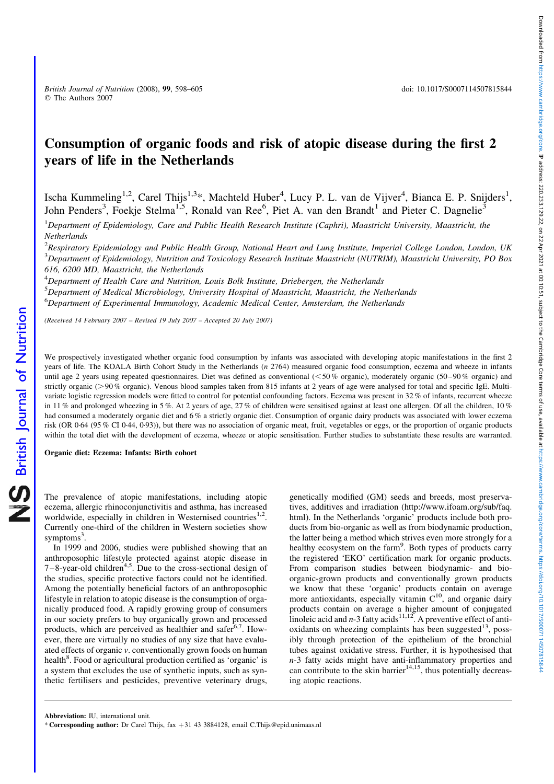# Consumption of organic foods and risk of atopic disease during the first 2 years of life in the Netherlands

Ischa Kummeling<sup>1,2</sup>, Carel Thijs<sup>1,3</sup>\*, Machteld Huber<sup>4</sup>, Lucy P. L. van de Vijver<sup>4</sup>, Bianca E. P. Snijders<sup>1</sup>, John Penders<sup>3</sup>, Foekje Stelma<sup>1,5</sup>, Ronald van Ree<sup>6</sup>, Piet A. van den Brandt<sup>1</sup> and Pieter C. Dagnelie<sup>3</sup>

 ${}^{1}$ Department of Epidemiology, Care and Public Health Research Institute (Caphri), Maastricht University, Maastricht, the **Netherlands** 

 $^{2}$ Respiratory Epidemiology and Public Health Group, National Heart and Lung Institute, Imperial College London, London, UK  $^3$ Department of Epidemiology, Nutrition and Toxicology Research Institute Maastricht (NUTRIM), Maastricht University, PO Box 616, 6200 MD, Maastricht, the Netherlands

<sup>4</sup>Department of Health Care and Nutrition, Louis Bolk Institute, Driebergen, the Netherlands

<sup>5</sup>Department of Medical Microbiology, University Hospital of Maastricht, Maastricht, the Netherlands <sup>6</sup>Department of Experimental Immunology, Academic Medical Center, Amsterdam, the Netherlands

(Received 14 February 2007 – Revised 19 July 2007 – Accepted 20 July 2007)

We prospectively investigated whether organic food consumption by infants was associated with developing atopic manifestations in the first 2 years of life. The KOALA Birth Cohort Study in the Netherlands (n 2764) measured organic food consumption, eczema and wheeze in infants until age 2 years using repeated questionnaires. Diet was defined as conventional  $(< 50\%$  organic), moderately organic (50–90% organic) and strictly organic (>90% organic). Venous blood samples taken from 815 infants at 2 years of age were analysed for total and specific IgE. Multivariate logistic regression models were fitted to control for potential confounding factors. Eczema was present in 32 % of infants, recurrent wheeze in 11 % and prolonged wheezing in 5 %. At 2 years of age, 27 % of children were sensitised against at least one allergen. Of all the children, 10 % had consumed a moderately organic diet and 6% a strictly organic diet. Consumption of organic dairy products was associated with lower eczema risk (OR 0·64 (95 % CI 0·44, 0·93)), but there was no association of organic meat, fruit, vegetables or eggs, or the proportion of organic products within the total diet with the development of eczema, wheeze or atopic sensitisation. Further studies to substantiate these results are warranted.

Organic diet: Eczema: Infants: Birth cohort

British Journal of Nutrition

**NS** British Journal of Nutrition

The prevalence of atopic manifestations, including atopic eczema, allergic rhinoconjunctivitis and asthma, has increased worldwide, especially in children in Westernised countries<sup>1,2</sup>. Currently one-third of the children in Western societies show symptoms<sup>3</sup>.

In 1999 and 2006, studies were published showing that an anthroposophic lifestyle protected against atopic disease in  $7-8$ -year-old children<sup>4,5</sup>. Due to the cross-sectional design of the studies, specific protective factors could not be identified. Among the potentially beneficial factors of an anthroposophic lifestyle in relation to atopic disease is the consumption of organically produced food. A rapidly growing group of consumers in our society prefers to buy organically grown and processed products, which are perceived as healthier and safer $6.7$ . However, there are virtually no studies of any size that have evaluated effects of organic v. conventionally grown foods on human health<sup>8</sup>. Food or agricultural production certified as 'organic' is a system that excludes the use of synthetic inputs, such as synthetic fertilisers and pesticides, preventive veterinary drugs,

genetically modified (GM) seeds and breeds, most preservatives, additives and irradiation (http://www.ifoam.org/sub/faq. html). In the Netherlands 'organic' products include both products from bio-organic as well as from biodynamic production, the latter being a method which strives even more strongly for a healthy ecosystem on the farm<sup>9</sup>. Both types of products carry the registered 'EKO' certification mark for organic products. From comparison studies between biodynamic- and bioorganic-grown products and conventionally grown products we know that these 'organic' products contain on average more antioxidants, especially vitamin  $C^{10}$ , and organic dairy products contain on average a higher amount of conjugated linoleic acid and  $n-3$  fatty acids<sup>11,12</sup>. A preventive effect of antioxidants on wheezing complaints has been suggested $^{13}$ , possibly through protection of the epithelium of the bronchial tubes against oxidative stress. Further, it is hypothesised that n-3 fatty acids might have anti-inflammatory properties and can contribute to the skin barrier<sup>14,15</sup>, thus potentially decreasing atopic reactions.

\* Corresponding author: Dr Carel Thijs, fax +31 43 3884128, email C.Thijs@epid.unimaas.nl

Abbreviation: IU, international unit.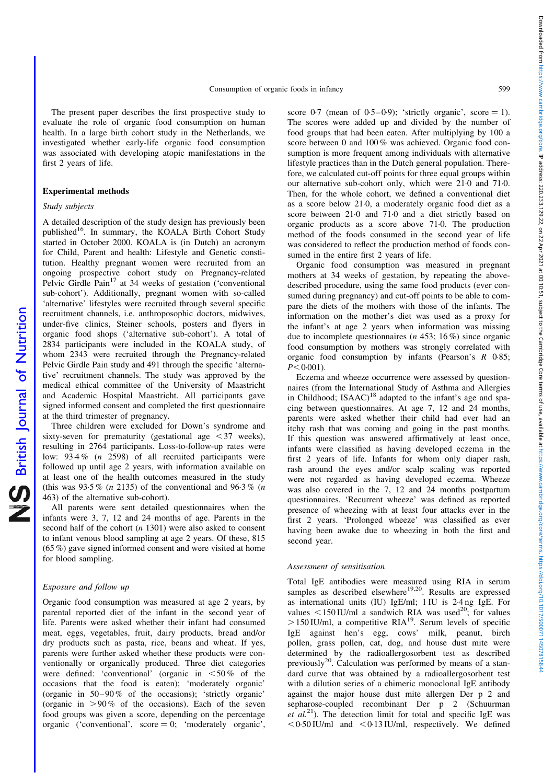The present paper describes the first prospective study to evaluate the role of organic food consumption on human health. In a large birth cohort study in the Netherlands, we investigated whether early-life organic food consumption was associated with developing atopic manifestations in the first 2 years of life.

# Experimental methods

## Study subjects

British Journal of Nutrition

**NS** British Journal of Nutrition

A detailed description of the study design has previously been published<sup>16</sup>. In summary, the KOALA Birth Cohort Study started in October 2000. KOALA is (in Dutch) an acronym for Child, Parent and health: Lifestyle and Genetic constitution. Healthy pregnant women were recruited from an ongoing prospective cohort study on Pregnancy-related Pelvic Girdle Pain<sup>17</sup> at 34 weeks of gestation ('conventional sub-cohort'). Additionally, pregnant women with so-called 'alternative' lifestyles were recruited through several specific recruitment channels, i.e. anthroposophic doctors, midwives, under-five clinics, Steiner schools, posters and flyers in organic food shops ('alternative sub-cohort'). A total of 2834 participants were included in the KOALA study, of whom 2343 were recruited through the Pregnancy-related Pelvic Girdle Pain study and 491 through the specific 'alternative' recruitment channels. The study was approved by the medical ethical committee of the University of Maastricht and Academic Hospital Maastricht. All participants gave signed informed consent and completed the first questionnaire at the third trimester of pregnancy.

Three children were excluded for Down's syndrome and sixty-seven for prematurity (gestational age  $\leq$  37 weeks), resulting in 2764 participants. Loss-to-follow-up rates were low: 93·4 % (n 2598) of all recruited participants were followed up until age 2 years, with information available on at least one of the health outcomes measured in the study (this was  $93.5\%$  (*n* 2135) of the conventional and  $96.3\%$  (*n* 463) of the alternative sub-cohort).

All parents were sent detailed questionnaires when the infants were 3, 7, 12 and 24 months of age. Parents in the second half of the cohort  $(n 1301)$  were also asked to consent to infant venous blood sampling at age 2 years. Of these, 815 (65 %) gave signed informed consent and were visited at home for blood sampling.

# Exposure and follow up

Organic food consumption was measured at age 2 years, by parental reported diet of the infant in the second year of life. Parents were asked whether their infant had consumed meat, eggs, vegetables, fruit, dairy products, bread and/or dry products such as pasta, rice, beans and wheat. If yes, parents were further asked whether these products were conventionally or organically produced. Three diet categories were defined: 'conventional' (organic in  $\leq 50\%$  of the occasions that the food is eaten); 'moderately organic' (organic in  $50-90\%$  of the occasions); 'strictly organic' (organic in  $>90\%$  of the occasions). Each of the seven food groups was given a score, depending on the percentage organic ('conventional',  $score = 0$ ; 'moderately organic',

score 0.7 (mean of 0.5–0.9); 'strictly organic', score  $= 1$ ). The scores were added up and divided by the number of food groups that had been eaten. After multiplying by 100 a score between 0 and 100 % was achieved. Organic food consumption is more frequent among individuals with alternative lifestyle practices than in the Dutch general population. Therefore, we calculated cut-off points for three equal groups within our alternative sub-cohort only, which were 21·0 and 71·0. Then, for the whole cohort, we defined a conventional diet as a score below 21·0, a moderately organic food diet as a score between 21·0 and 71·0 and a diet strictly based on organic products as a score above 71·0. The production method of the foods consumed in the second year of life was considered to reflect the production method of foods consumed in the entire first 2 years of life.

Organic food consumption was measured in pregnant mothers at 34 weeks of gestation, by repeating the abovedescribed procedure, using the same food products (ever consumed during pregnancy) and cut-off points to be able to compare the diets of the mothers with those of the infants. The information on the mother's diet was used as a proxy for the infant's at age 2 years when information was missing due to incomplete questionnaires (n 453; 16 %) since organic food consumption by mothers was strongly correlated with organic food consumption by infants (Pearson's R 0·85;  $P < 0.001$ .

Eczema and wheeze occurrence were assessed by questionnaires (from the International Study of Asthma and Allergies in Childhood; ISAAC)<sup>18</sup> adapted to the infant's age and spacing between questionnaires. At age 7, 12 and 24 months, parents were asked whether their child had ever had an itchy rash that was coming and going in the past months. If this question was answered affirmatively at least once, infants were classified as having developed eczema in the first 2 years of life. Infants for whom only diaper rash, rash around the eyes and/or scalp scaling was reported were not regarded as having developed eczema. Wheeze was also covered in the 7, 12 and 24 months postpartum questionnaires. 'Recurrent wheeze' was defined as reported presence of wheezing with at least four attacks ever in the first 2 years. 'Prolonged wheeze' was classified as ever having been awake due to wheezing in both the first and second year.

## Assessment of sensitisation

Total IgE antibodies were measured using RIA in serum samples as described elsewhere<sup>19,20</sup>. Results are expressed as international units (IU) IgE/ml; 1 IU is 2·4 ng IgE. For values  $\leq 150$  IU/ml a sandwich RIA was used<sup>20</sup>; for values  $>150$  IU/ml, a competitive RIA<sup>19</sup>. Serum levels of specific IgE against hen's egg, cows' milk, peanut, birch pollen, grass pollen, cat, dog, and house dust mite were determined by the radioallergosorbent test as described previously $^{20}$ . Calculation was performed by means of a standard curve that was obtained by a radioallergosorbent test with a dilution series of a chimeric monoclonal IgE antibody against the major house dust mite allergen Der p 2 and sepharose-coupled recombinant Der p 2 (Schuurman et  $al^{21}$ ). The detection limit for total and specific IgE was  $<$  0·50 IU/ml and  $<$  0·13 IU/ml, respectively. We defined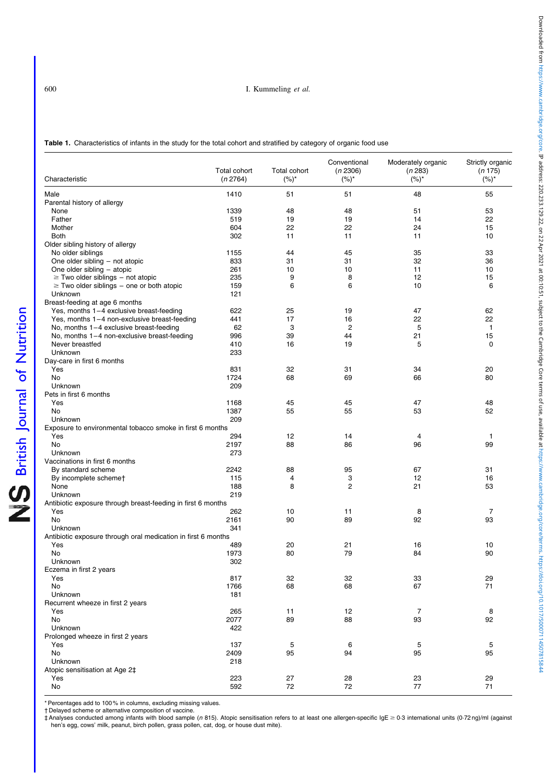<span id="page-2-0"></span>

| Characteristic                                                | Total cohort<br>(n 2764) | <b>Total cohort</b><br>$(%)^*$ | Conventional<br>(n 2306)<br>$(%)^*$ | Moderately organic<br>(n 283)<br>$(%)^*$ | Strictly organic<br>(n 175)<br>$(%)^{*}$ |
|---------------------------------------------------------------|--------------------------|--------------------------------|-------------------------------------|------------------------------------------|------------------------------------------|
| Male                                                          | 1410                     | 51                             | 51                                  | 48                                       | 55                                       |
| Parental history of allergy                                   |                          |                                |                                     |                                          |                                          |
| None                                                          | 1339                     | 48                             | 48                                  | 51                                       | 53                                       |
| Father                                                        | 519                      | 19                             | 19                                  | 14                                       | 22                                       |
| Mother                                                        | 604                      | 22                             | 22                                  | 24                                       | 15                                       |
| <b>Both</b>                                                   | 302                      | 11                             | 11                                  | 11                                       | 10                                       |
| Older sibling history of allergy                              |                          |                                |                                     |                                          |                                          |
| No older siblings                                             | 1155                     | 44                             | 45                                  | 35                                       | 33                                       |
| One older sibling - not atopic                                | 833                      | 31                             | 31                                  | 32                                       | 36                                       |
| One older sibling - atopic                                    | 261                      | 10                             | 10                                  | 11                                       | 10                                       |
| $\ge$ Two older siblings – not atopic                         | 235                      | 9                              | 8                                   | 12                                       | 15                                       |
| $\geq$ Two older siblings – one or both atopic                | 159                      | 6                              | 6                                   | 10                                       | 6                                        |
| Unknown                                                       | 121                      |                                |                                     |                                          |                                          |
| Breast-feeding at age 6 months                                |                          |                                |                                     |                                          |                                          |
| Yes, months 1-4 exclusive breast-feeding                      | 622                      | 25                             | 19                                  | 47                                       | 62                                       |
| Yes, months 1-4 non-exclusive breast-feeding                  | 441                      | 17                             | 16                                  | 22                                       | 22                                       |
| No, months $1-4$ exclusive breast-feeding                     | 62                       | 3                              | $\overline{c}$                      | 5                                        | 1                                        |
| No, months 1-4 non-exclusive breast-feeding                   | 996                      | 39                             | 44                                  | 21                                       | 15                                       |
| Never breastfed                                               | 410                      | 16                             | 19                                  | 5                                        | $\mathbf 0$                              |
| Unknown                                                       | 233                      |                                |                                     |                                          |                                          |
| Day-care in first 6 months                                    |                          |                                |                                     |                                          |                                          |
| Yes                                                           | 831                      | 32                             | 31                                  | 34                                       | 20                                       |
| No                                                            | 1724                     | 68                             | 69                                  | 66                                       | 80                                       |
| Unknown                                                       | 209                      |                                |                                     |                                          |                                          |
| Pets in first 6 months                                        |                          |                                |                                     |                                          |                                          |
| Yes                                                           | 1168                     | 45                             | 45                                  | 47                                       | 48                                       |
| No                                                            | 1387                     | 55                             | 55                                  | 53                                       | 52                                       |
| Unknown                                                       | 209                      |                                |                                     |                                          |                                          |
| Exposure to environmental tobacco smoke in first 6 months     |                          |                                |                                     |                                          |                                          |
| Yes                                                           | 294                      | 12                             | 14                                  | 4                                        | 1                                        |
| No                                                            | 2197                     | 88                             | 86                                  | 96                                       | 99                                       |
| Unknown                                                       | 273                      |                                |                                     |                                          |                                          |
| Vaccinations in first 6 months                                |                          |                                |                                     |                                          |                                          |
| By standard scheme                                            | 2242                     | 88                             | 95                                  | 67                                       | 31                                       |
| By incomplete schemet                                         | 115                      | 4                              | 3                                   | 12                                       | 16                                       |
| None                                                          | 188                      | 8                              | 2                                   | 21                                       | 53                                       |
| Unknown                                                       | 219                      |                                |                                     |                                          |                                          |
| Antibiotic exposure through breast-feeding in first 6 months  |                          |                                |                                     |                                          |                                          |
| Yes                                                           | 262                      | 10                             | 11                                  | 8                                        | 7                                        |
| No                                                            | 2161                     | 90                             | 89                                  | 92                                       | 93                                       |
| Unknown                                                       | 341                      |                                |                                     |                                          |                                          |
| Antibiotic exposure through oral medication in first 6 months |                          |                                |                                     |                                          |                                          |
| Yes                                                           | 489                      | 20                             | 21                                  | 16                                       | 10                                       |
| No                                                            | 1973                     | 80                             | 79                                  | 84                                       | 90                                       |
| Unknown                                                       | 302                      |                                |                                     |                                          |                                          |
| Eczema in first 2 years                                       |                          |                                |                                     |                                          |                                          |
| Yes                                                           | 817                      | 32                             | 32                                  | 33                                       | 29                                       |
| No                                                            | 1766                     | 68                             | 68                                  | 67                                       | 71                                       |
| Unknown                                                       | 181                      |                                |                                     |                                          |                                          |
| Recurrent wheeze in first 2 years                             |                          |                                |                                     |                                          |                                          |
| Yes                                                           | 265                      | 11                             | 12                                  | $\overline{7}$                           | 8                                        |
| No                                                            | 2077                     | 89                             | 88                                  | 93                                       | 92                                       |
| Unknown                                                       | 422                      |                                |                                     |                                          |                                          |
| Prolonged wheeze in first 2 years                             |                          |                                |                                     |                                          |                                          |
| Yes                                                           | 137                      | $\sqrt{5}$                     | 6                                   | 5                                        | 5                                        |
| No                                                            | 2409                     | 95                             | 94                                  | 95                                       | 95                                       |
| Unknown                                                       | 218                      |                                |                                     |                                          |                                          |
| Atopic sensitisation at Age 2‡                                |                          |                                |                                     |                                          |                                          |
| Yes                                                           | 223                      | 27                             | 28                                  | 23                                       | 29                                       |
| No                                                            | 592                      | 72                             | 72                                  | 77                                       | 71                                       |

\* Percentages add to 100 % in columns, excluding missing values.

† Delayed scheme or alternative composition of vaccine.

† Analyses conducted among infants with blood sample (n 815). Atopic sensitisation refers to at least one allergen-specific IgE ≥ 0.3 international units (0.72 ng)/ml (against hen's egg, cows' milk, peanut, birch pollen, grass pollen, cat, dog, or house dust mite).

British Journal of Nutrition

NS British Journal of Nutrition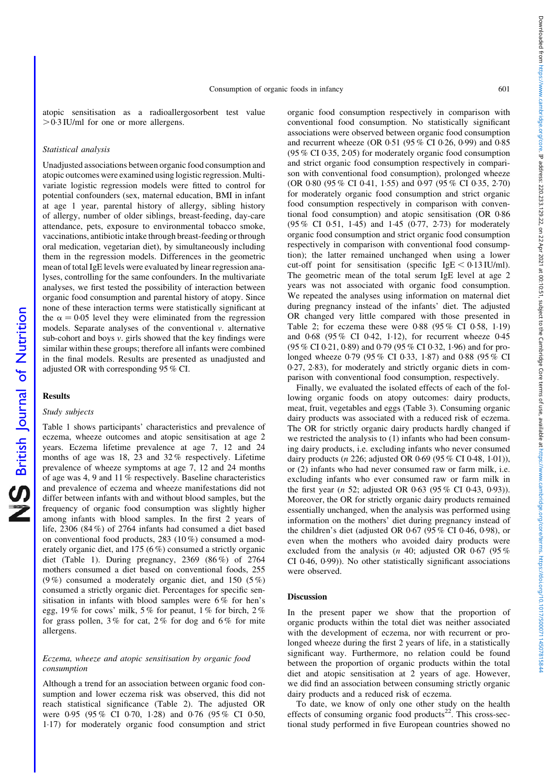atopic sensitisation as a radioallergosorbent test value  $>0.3$  IU/ml for one or more allergens.

## Statistical analysis

Unadjusted associations between organic food consumption and atopic outcomes were examined using logistic regression. Multivariate logistic regression models were fitted to control for potential confounders (sex, maternal education, BMI in infant at age 1 year, parental history of allergy, sibling history of allergy, number of older siblings, breast-feeding, day-care attendance, pets, exposure to environmental tobacco smoke, vaccinations, antibiotic intake through breast-feeding or through oral medication, vegetarian diet), by simultaneously including them in the regression models. Differences in the geometric mean of total IgE levels were evaluated by linear regression analyses, controlling for the same confounders. In the multivariate analyses, we first tested the possibility of interaction between organic food consumption and parental history of atopy. Since none of these interaction terms were statistically significant at the  $\alpha = 0.05$  level they were eliminated from the regression models. Separate analyses of the conventional v. alternative sub-cohort and boys v. girls showed that the key findings were similar within these groups; therefore all infants were combined in the final models. Results are presented as unadjusted and adjusted OR with corresponding 95 % CI.

#### Results

British Journal of Nutrition

NS British Journal of Nutrition

## Study subjects

[Table 1](#page-2-0) shows participants' characteristics and prevalence of eczema, wheeze outcomes and atopic sensitisation at age 2 years. Eczema lifetime prevalence at age 7, 12 and 24 months of age was 18, 23 and 32 % respectively. Lifetime prevalence of wheeze symptoms at age 7, 12 and 24 months of age was 4, 9 and 11 % respectively. Baseline characteristics and prevalence of eczema and wheeze manifestations did not differ between infants with and without blood samples, but the frequency of organic food consumption was slightly higher among infants with blood samples. In the first 2 years of life, 2306 (84 %) of 2764 infants had consumed a diet based on conventional food products, 283 (10 %) consumed a moderately organic diet, and 175 (6 %) consumed a strictly organic diet ([Table 1](#page-2-0)). During pregnancy, 2369 (86 %) of 2764 mothers consumed a diet based on conventional foods, 255 (9 %) consumed a moderately organic diet, and 150 (5 %) consumed a strictly organic diet. Percentages for specific sensitisation in infants with blood samples were 6 % for hen's egg, 19 % for cows' milk, 5 % for peanut, 1 % for birch, 2 % for grass pollen,  $3\%$  for cat,  $2\%$  for dog and  $6\%$  for mite allergens.

# Eczema, wheeze and atopic sensitisation by organic food consumption

Although a trend for an association between organic food consumption and lower eczema risk was observed, this did not reach statistical significance [\(Table 2\)](#page-4-0). The adjusted OR were 0·95 (95 % CI 0·70, 1·28) and 0·76 (95 % CI 0·50, 1·17) for moderately organic food consumption and strict

organic food consumption respectively in comparison with conventional food consumption. No statistically significant associations were observed between organic food consumption and recurrent wheeze (OR 0·51 (95 % CI 0·26, 0·99) and 0·85 (95 % CI 0·35, 2·05) for moderately organic food consumption and strict organic food consumption respectively in comparison with conventional food consumption), prolonged wheeze (OR 0·80 (95 % CI 0·41, 1·55) and 0·97 (95 % CI 0·35, 2·70) for moderately organic food consumption and strict organic food consumption respectively in comparison with conventional food consumption) and atopic sensitisation (OR 0·86 (95 % CI 0·51, 1·45) and 1·45 (0·77, 2·73) for moderately organic food consumption and strict organic food consumption respectively in comparison with conventional food consumption); the latter remained unchanged when using a lower cut-off point for sensitisation (specific  $IgE < 0.13$  IU/ml). The geometric mean of the total serum IgE level at age 2 years was not associated with organic food consumption. We repeated the analyses using information on maternal diet during pregnancy instead of the infants' diet. The adjusted OR changed very little compared with those presented in [Table 2;](#page-4-0) for eczema these were 0·88 (95 % CI 0·58, 1·19) and 0·68 (95 % CI 0·42, 1·12), for recurrent wheeze 0·45 (95 % CI 0·21, 0·89) and 0·79 (95 % CI 0·32, 1·96) and for prolonged wheeze 0·79 (95 % CI 0·33, 1·87) and 0·88 (95 % CI 0·27, 2·83), for moderately and strictly organic diets in comparison with conventional food consumption, respectively.

Finally, we evaluated the isolated effects of each of the following organic foods on atopy outcomes: dairy products, meat, fruit, vegetables and eggs ([Table 3\)](#page-5-0). Consuming organic dairy products was associated with a reduced risk of eczema. The OR for strictly organic dairy products hardly changed if we restricted the analysis to (1) infants who had been consuming dairy products, i.e. excluding infants who never consumed dairy products (n 226; adjusted OR 0·69 (95 % CI 0·48, 1·01)), or (2) infants who had never consumed raw or farm milk, i.e. excluding infants who ever consumed raw or farm milk in the first year (n 52; adjusted OR 0·63 (95 % CI 0·43, 0·93)). Moreover, the OR for strictly organic dairy products remained essentially unchanged, when the analysis was performed using information on the mothers' diet during pregnancy instead of the children's diet (adjusted OR 0·67 (95 % CI 0·46, 0·98), or even when the mothers who avoided dairy products were excluded from the analysis (*n* 40; adjusted OR 0.67 (95%) CI 0·46, 0·99)). No other statistically significant associations were observed.

# Discussion

In the present paper we show that the proportion of organic products within the total diet was neither associated with the development of eczema, nor with recurrent or prolonged wheeze during the first 2 years of life, in a statistically significant way. Furthermore, no relation could be found between the proportion of organic products within the total diet and atopic sensitisation at 2 years of age. However, we did find an association between consuming strictly organic dairy products and a reduced risk of eczema.

To date, we know of only one other study on the health effects of consuming organic food products<sup>22</sup>. This cross-sectional study performed in five European countries showed no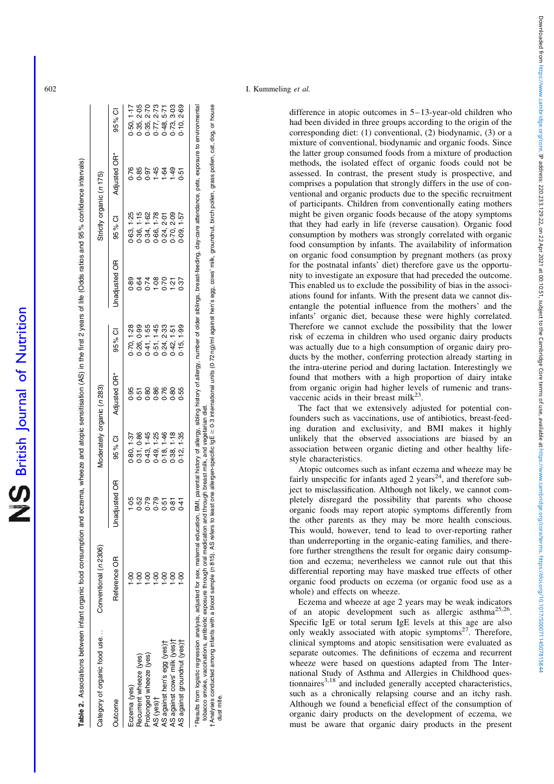Table 2. Associations between infant organic food consumption and eczerna, wheeze and atopic sensitisation (AS) in the first 2 years of life (Odds ratios and 95% confidence intervals)

Associations between infant organic food consumption and eczema, wheeze and atopic sensitisation (AS) in the first 2 years of life (Odds ratios and 95 % confidence intervals)

<span id="page-4-0"></span>

| Category of organic food use                                | Conventional (n 2306) |               | Moderately organic (n 283)                   |              |                                              |                      | Strictly organic (n 175)               |                  |                          |
|-------------------------------------------------------------|-----------------------|---------------|----------------------------------------------|--------------|----------------------------------------------|----------------------|----------------------------------------|------------------|--------------------------|
| utcome                                                      | Reference OR          | Unadjusted OR | 95% CI                                       | Adjusted OR* | 95% CI                                       | <b>Jnadjusted OR</b> | 95 % CI                                | Adjusted OR*     | 95% CI                   |
| Eczema (yes)                                                |                       | 1.05          | 0.80, 1.37                                   | $-95$        | 0.70, 1.28                                   | 89                   | 0.63, 1.25                             | 0.76             | 0.50, 1.17               |
| Recurrent wheeze (yes)                                      | Ş                     | 0.52          | 0.31, 0.86                                   |              |                                              |                      |                                        | 1.85             | 2.05                     |
| Prolonged wheeze (yes)                                      | oo.                   | 0.79          |                                              | 5888         |                                              | 0.74                 |                                        |                  | 2.70                     |
| AS (yes)†                                                   | $rac{6}{1}$           | 0.79          |                                              |              | $0.26, 0.99$<br>$0.41, 1.55$<br>$0.51, 1.45$ | $-08$                | 0.36, 1.15<br>0.34, 1.62<br>0.66, 1.78 | 1.45             | 2.73                     |
|                                                             | oo<br>-               | 0.51          | $0.43, 1.45$<br>$0.49, 1.25$<br>$0.18, 1.46$ | 0.76         |                                              | 0.70                 |                                        | $-64$            | 5.71<br>8.8778           |
| AS against hen's egg (yes)†<br>AS against cows' milk (yes)† | <u>ခဲ့</u>            | 0.81          | 1.18<br>0.38,                                |              | $0.24, 2.33$<br>$0.42, 1.51$                 | $\frac{5}{2}$        | $0.24, 2.01$<br>$0.70, 2.09$           |                  |                          |
| AS against groundnut (yes)t                                 | S.                    | $0 - 4$       | 1.35<br>$\frac{1}{2}$                        | 0.55         | 0.15, 1.99                                   | 0.37                 | 0.09, 1.57                             | $1.49$<br>$0.51$ | 0.73, 3.03<br>0.10, 2.69 |

tobacco smoke, vaccinations, antibiotic exposure through oral medication and through breast milk, and vegetarian diet.<br>Analyses conducted among infants with a blood sample (n 815). AS refers to least one allergen-specific r Analyses conducted among infants with a blood sample (n815). AS refers to least to least one allergen-specific igE ≥ 0.3 international units (0.72 ng/ml against hen's egg, cows' milk, groundnut, birch pollen, grass poll tobacco smoke, vaccinations, antibiotic exposure through oral medication and through breast milk, and vegetarian diet.

dust mite. dust mite

difference in atopic outcomes in 5–13-year-old children who had been divided in three groups according to the origin of the corresponding diet: (1) conventional, (2) biodynamic, (3) or a mixture of conventional, biodynamic and organic foods. Since the latter group consumed foods from a mixture of production methods, the isolated effect of organic foods could not be assessed. In contrast, the present study is prospective, and comprises a population that strongly differs in the use of conventional and organic products due to the specific recruitment of participants. Children from conventionally eating mothers might be given organic foods because of the atopy symptoms that they had early in life (reverse causation). Organic food consumption by mothers was strongly correlated with organic food consumption by infants. The availability of information on organic food consumption by pregnant mothers (as proxy for the postnatal infants' diet) therefore gave us the opportunity to investigate an exposure that had preceded the outcome. This enabled us to exclude the possibility of bias in the associations found for infants. With the present data we cannot disentangle the potential influence from the mothers' and the infants' organic diet, because these were highly correlated. Therefore we cannot exclude the possibility that the lower risk of eczema in children who used organic dairy products was actually due to a high consumption of organic dairy products by the mother, conferring protection already starting in the intra-uterine period and during lactation. Interestingly we found that mothers with a high proportion of dairy intake from organic origin had higher levels of rumenic and transvaccenic acids in their breast milk<sup>23</sup>.

The fact that we extensively adjusted for potential confounders such as vaccinations, use of antibiotics, breast-feeding duration and exclusivity, and BMI makes it highly unlikely that the observed associations are biased by an association between organic dieting and other healthy lifestyle characteristics.

Atopic outcomes such as infant eczema and wheeze may be fairly unspecific for infants aged 2 years<sup>24</sup>, and therefore subject to misclassification. Although not likely, we cannot completely disregard the possibility that parents who choose organic foods may report atopic symptoms differently from the other parents as they may be more health conscious. This would, however, tend to lead to over-reporting rather than underreporting in the organic-eating families, and therefore further strengthens the result for organic dairy consumption and eczema; nevertheless we cannot rule out that this differential reporting may have masked true effects of other organic food products on eczema (or organic food use as a whole) and effects on wheeze.

Eczema and wheeze at age 2 years may be weak indicators of an atopic development such as allergic asthma<sup>25,26</sup>. Specific IgE or total serum IgE levels at this age are also only weakly associated with atopic symptoms<sup>27</sup>. Therefore, clinical symptoms and atopic sensitisation were evaluated as separate outcomes. The definitions of eczema and recurrent wheeze were based on questions adapted from The International Study of Asthma and Allergies in Childhood questionnaires $3.18$  and included generally accepted characteristics, such as a chronically relapsing course and an itchy rash. Although we found a beneficial effect of the consumption of organic dairy products on the development of eczema, we must be aware that organic dairy products in the present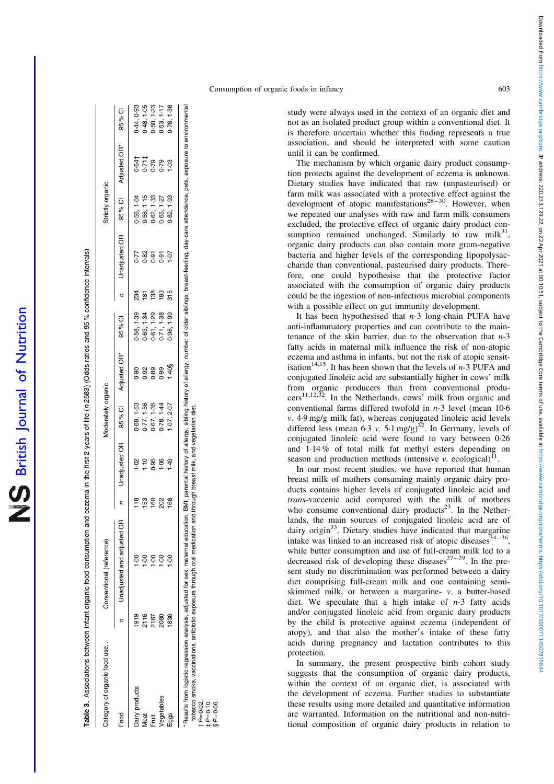<span id="page-5-0"></span>

| Category of organic food use |      | Conventional (reference)     |               |                                   | Moderately organic |                |            |                |                 | Strictly organic |                     |            |
|------------------------------|------|------------------------------|---------------|-----------------------------------|--------------------|----------------|------------|----------------|-----------------|------------------|---------------------|------------|
| Food                         |      | n Unadjusted and adjusted OR |               | Unadjusted OR 95% CI Adjusted OR* |                    |                | 95% CI     |                | n Unadjusted OR |                  | 95% CI Adjusted OR* | 95% CI     |
| Dairy products               | 1919 |                              | $\frac{8}{1}$ | $\frac{8}{1}$                     | 0.68, 1.53         | $\frac{6}{20}$ | 0.58, 1.39 | 234            | 0.77            | 0.56, 1.04       | 0.64†               | 0.44, 0.93 |
| <b>Meat</b>                  | 2116 | Ş                            | 153           | $\frac{10}{11}$                   | 0.77, 1.56         | 0.92           | 0.63, 1.34 | $\frac{18}{2}$ | 0.82            | 0.58, 1.15       |                     | 0.48, 1.05 |
| Fruit                        | 2167 | $\frac{1}{2}$                | $\frac{8}{3}$ | 0.95                              | 0.67, 1.35         | 0.89           | 0.61, 1.29 | $\frac{8}{3}$  | 5.0             | 0-62, 1-33       | $0.71$ #            | 0.50, 1.23 |
| Vegetables                   | 2080 | $rac{1}{2}$                  | 202           | $-06$                             | 0.78, 1.44         | 0.99           | 0.71, 1.38 | 83             | 0.91            | 3.65, 1.27       | 0.79                | 0.53, 1.17 |
| Eggs                         | 1836 | oo<br>-                      | 168           | $rac{1}{4}$                       | $-07, 2.07$        | $1.40$ §       | 0.98, 1.99 | 315            | 10 <sub>1</sub> | 0-82, 1-93       | 1.03                | 0.76, 1.38 |

 $\dagger$  P $=$  0.02.  $\ddagger$  P=0.10.  $\S P = 0.06$ .

study were always used in the context of an organic diet and not as an isolated product group within a conventional diet. It is therefore uncertain whether this finding represents a true association, and should be interpreted with some caution until it can be confirmed.

The mechanism by which organic dairy product consumption protects against the development of eczema is unknown. Dietary studies have indicated that raw (unpasteurised) or farm milk was associated with a protective effect against the development of atopic manifestations<sup>28-30</sup>. However, when we repeated our analyses with raw and farm milk consumers excluded, the protective effect of organic dairy product consumption remained unchanged. Similarly to raw milk $31$ , organic dairy products can also contain more gram-negative bacteria and higher levels of the corresponding lipopolysaccharide than conventional, pasteurised dairy products. Therefore, one could hypothesise that the protective factor associated with the consumption of organic dairy products could be the ingestion of non-infectious microbial components with a possible effect on gut immunity development.

It has been hypothesised that  $n-3$  long-chain PUFA have anti-inflammatory properties and can contribute to the maintenance of the skin barrier, due to the observation that  $n-3$ fatty acids in maternal milk influence the risk of non-atopic eczema and asthma in infants, but not the risk of atopic sensitisation<sup>14,15</sup>. It has been shown that the levels of  $n-3$  PUFA and conjugated linoleic acid are substantially higher in cows' milk from organic producers than from conventional producers<sup>11,12,32</sup>. In the Netherlands, cows' milk from organic and  $\mu$ <sup>2</sup>. In the Netherlands, cows' milk from organic and conventional farms differed twofold in n-3 level (mean 10·6 v. 4·9 mg/g milk fat), whereas conjugated linoleic acid levels differed less (mean 6.3 v. 5.1 mg/g)<sup>32</sup>. In Germany, levels of conjugated linoleic acid were found to vary between 0·26 and 1·14 % of total milk fat methyl esters depending on season and production methods (intensive  $v$ . ecological)<sup>11</sup> .

In our most recent studies, we have reported that human breast milk of mothers consuming mainly organic dairy products contains higher levels of conjugated linoleic acid and trans-vaccenic acid compared with the milk of mothers who consume conventional dairy products<sup>23</sup>. In the Netherlands, the main sources of conjugated linoleic acid are of dairy origin<sup>33</sup>. Dietary studies have indicated that margarine intake was linked to an increased risk of atopic diseases  $34-36$ , while butter consumption and use of full-cream milk led to a decreased risk of developing these diseases  $37-39$ . In the present study no discrimination was performed between a dairy diet comprising full-cream milk and one containing semiskimmed milk, or between a margarine- v. a butter-based diet. We speculate that a high intake of  $n-3$  fatty acids and/or conjugated linoleic acid from organic dairy products by the child is protective against eczema (independent of atopy), and that also the mother's intake of these fatty acids during pregnancy and lactation contributes to this protection.

In summary, the present prospective birth cohort study suggests that the consumption of organic dairy products, within the context of an organic diet, is associated with the development of eczema. Further studies to substantiate these results using more detailed and quantitative information are warranted. Information on the nutritional and non-nutritional composition of organic dairy products in relation to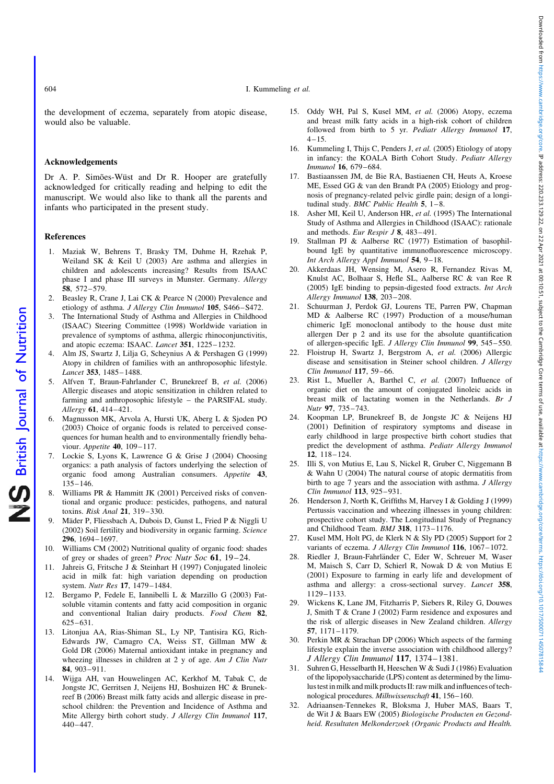604 I. Kummeling et al.

the development of eczema, separately from atopic disease, would also be valuable.

# Acknowledgements

Dr A. P. Simões-Wüst and Dr R. Hooper are gratefully acknowledged for critically reading and helping to edit the manuscript. We would also like to thank all the parents and infants who participated in the present study.

## References

- 1. Maziak W, Behrens T, Brasky TM, Duhme H, Rzehak P, Weiland SK & Keil U (2003) Are asthma and allergies in children and adolescents increasing? Results from ISAAC phase I and phase III surveys in Munster. Germany. Allergy 58, 572 –579.
- 2. Beasley R, Crane J, Lai CK & Pearce N (2000) Prevalence and etiology of asthma. J Allergy Clin Immunol 105, S466–S472.
- 3. The International Study of Asthma and Allergies in Childhood (ISAAC) Steering Committee (1998) Worldwide variation in prevalence of symptoms of asthma, allergic rhinoconjunctivitis, and atopic eczema: ISAAC. Lancet 351, 1225-1232.
- 4. Alm JS, Swartz J, Lilja G, Scheynius A & Pershagen G (1999) Atopy in children of families with an anthroposophic lifestyle. Lancet 353, 1485-1488.
- 5. Alfven T, Braun-Fahrlander C, Brunekreef B, et al. (2006) Allergic diseases and atopic sensitization in children related to farming and anthroposophic lifestyle – the PARSIFAL study. Allergy **61**, 414-421.
- 6. Magnusson MK, Arvola A, Hursti UK, Aberg L & Sjoden PO (2003) Choice of organic foods is related to perceived consequences for human health and to environmentally friendly behaviour. Appetite 40, 109-117.
- 7. Lockie S, Lyons K, Lawrence G & Grise J (2004) Choosing organics: a path analysis of factors underlying the selection of organic food among Australian consumers. Appetite 43,  $135 - 146$ .
- 8. Williams PR & Hammitt JK (2001) Perceived risks of conventional and organic produce: pesticides, pathogens, and natural toxins. Risk Anal 21, 319-330.
- 9. Mäder P, Fliessbach A, Dubois D, Gunst L, Fried P & Niggli U (2002) Soil fertility and biodiversity in organic farming. Science 296, 1694 – 1697.
- 10. Williams CM (2002) Nutritional quality of organic food: shades of grey or shades of green? *Proc Nutr Soc* 61, 19–24.
- 11. Jahreis G, Fritsche J & Steinhart H (1997) Conjugated linoleic acid in milk fat: high variation depending on production system. Nutr Res 17, 1479– 1484.
- 12. Bergamo P, Fedele E, Iannibelli L & Marzillo G (2003) Fatsoluble vitamin contents and fatty acid composition in organic and conventional Italian dairy products. Food Chem 82, 625 –631.
- 13. Litonjua AA, Rias-Shiman SL, Ly NP, Tantisira KG, Rich-Edwards JW, Camagro CA, Weiss ST, Gillman MW & Gold DR (2006) Maternal antioxidant intake in pregnancy and wheezing illnesses in children at 2 y of age. Am J Clin Nutr 84, 903 –911.
- 14. Wijga AH, van Houwelingen AC, Kerkhof M, Tabak C, de Jongste JC, Gerritsen J, Neijens HJ, Boshuizen HC & Brunekreef B (2006) Breast milk fatty acids and allergic disease in preschool children: the Prevention and Incidence of Asthma and Mite Allergy birth cohort study. J Allergy Clin Immunol 117,  $440 - 447.$
- 15. Oddy WH, Pal S, Kusel MM, et al. (2006) Atopy, eczema and breast milk fatty acids in a high-risk cohort of children followed from birth to 5 yr. Pediatr Allergy Immunol 17,  $4 - 15$ .
- 16. Kummeling I, Thijs C, Penders J, et al. (2005) Etiology of atopy in infancy: the KOALA Birth Cohort Study. Pediatr Allergy Immunol 16, 679 – 684.
- 17. Bastiaanssen JM, de Bie RA, Bastiaenen CH, Heuts A, Kroese ME, Essed GG & van den Brandt PA (2005) Etiology and prognosis of pregnancy-related pelvic girdle pain; design of a longitudinal study. BMC Public Health 5,  $1-8$ .
- 18. Asher MI, Keil U, Anderson HR, et al. (1995) The International Study of Asthma and Allergies in Childhood (ISAAC): rationale and methods. Eur Respir J 8, 483 – 491.
- 19. Stallman PJ & Aalberse RC (1977) Estimation of basophilbound IgE by quantitative immunofluorescence microscopy. Int Arch Allergy Appl Immunol 54, 9– 18.
- 20. Akkerdaas JH, Wensing M, Asero R, Fernandez Rivas M, Knulst AC, Bolhaar S, Hefle SL, Aalberse RC & van Ree R (2005) IgE binding to pepsin-digested food extracts. Int Arch Allergy Immunol 138, 203-208.
- 21. Schuurman J, Perdok GJ, Lourens TE, Parren PW, Chapman MD & Aalberse RC (1997) Production of a mouse/human chimeric IgE monoclonal antibody to the house dust mite allergen Der p 2 and its use for the absolute quantification of allergen-specific IgE. J Allergy Clin Immunol 99, 545 – 550.
- 22. Floistrup H, Swartz J, Bergstrom A, et al. (2006) Allergic disease and sensitisation in Steiner school children. J Allergy Clin Immunol 117, 59 –66.
- 23. Rist L, Mueller A, Barthel C, et al. (2007) Influence of organic diet on the amount of conjugated linoleic acids in breast milk of lactating women in the Netherlands. Br J Nutr 97, 735 – 743.
- 24. Koopman LP, Brunekreef B, de Jongste JC & Neijens HJ (2001) Definition of respiratory symptoms and disease in early childhood in large prospective birth cohort studies that predict the development of asthma. Pediatr Allergy Immunol 12, 118 – 124.
- 25. Illi S, von Mutius E, Lau S, Nickel R, Gruber C, Niggemann B & Wahn U (2004) The natural course of atopic dermatitis from birth to age 7 years and the association with asthma. J Allergy Clin Immunol 113, 925-931.
- 26. Henderson J, North K, Griffiths M, Harvey I & Golding J (1999) Pertussis vaccination and wheezing illnesses in young children: prospective cohort study. The Longitudinal Study of Pregnancy and Childhood Team. BMJ 318, 1173-1176.
- 27. Kusel MM, Holt PG, de Klerk N & Sly PD (2005) Support for 2 variants of eczema. J Allergy Clin Immunol 116, 1067-1072.
- 28. Riedler J, Braun-Fahrländer C, Eder W, Schreuer M, Waser M, Maisch S, Carr D, Schierl R, Nowak D & von Mutius E (2001) Exposure to farming in early life and development of asthma and allergy: a cross-sectional survey. Lancet 358, 1129 –1133.
- 29. Wickens K, Lane JM, Fitzharris P, Siebers R, Riley G, Douwes J, Smith T & Crane J (2002) Farm residence and exposures and the risk of allergic diseases in New Zealand children. Allergy 57, 1171 –1179.
- 30. Perkin MR & Strachan DP (2006) Which aspects of the farming lifestyle explain the inverse association with childhood allergy? J Allergy Clin Immunol 117, 1374–1381.
- 31. Suhren G, Hesselbarth H, Heeschen W & Sudi J (1986) Evaluation of the lipopolysaccharide (LPS) content as determined by the limulus test in milk and milk products II: raw milk and influences of technological procedures. Milhwissenschaft 41, 156–160.
- 32. Adriaansen-Tennekes R, Bloksma J, Huber MAS, Baars T, de Wit J & Baars EW (2005) Biologische Producten en Gezondheid. Resultaten Melkonderzoek (Organic Products and Health.